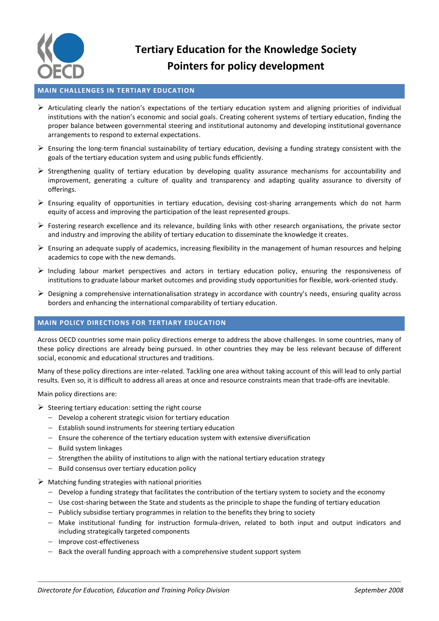

## **Tertiary Education for the Knowledge Society Pointers for policy development**

## **MAIN CHALLENGES IN TERTIARY EDUCATION**

- $\triangleright$  Articulating clearly the nation's expectations of the tertiary education system and aligning priorities of individual institutions with the nation's economic and social goals. Creating coherent systems of tertiary education, finding the proper balance between governmental steering and institutional autonomy and developing institutional governance arrangements to respond to external expectations.
- $\triangleright$  Ensuring the long-term financial sustainability of tertiary education, devising a funding strategy consistent with the goals of the tertiary education system and using public funds efficiently.
- $\triangleright$  Strengthening quality of tertiary education by developing quality assurance mechanisms for accountability and improvement, generating a culture of quality and transparency and adapting quality assurance to diversity of offerings.
- $\triangleright$  Ensuring equality of opportunities in tertiary education, devising cost-sharing arrangements which do not harm equity of access and improving the participation of the least represented groups.
- $\triangleright$  Fostering research excellence and its relevance, building links with other research organisations, the private sector and industry and improving the ability of tertiary education to disseminate the knowledge it creates.
- $\triangleright$  Ensuring an adequate supply of academics, increasing flexibility in the management of human resources and helping academics to cope with the new demands.
- $\triangleright$  Including labour market perspectives and actors in tertiary education policy, ensuring the responsiveness of institutions to graduate labour market outcomes and providing study opportunities for flexible, work-oriented study.
- $\triangleright$  Designing a comprehensive internationalisation strategy in accordance with country's needs, ensuring quality across borders and enhancing the international comparability of tertiary education.

## **MAIN POLICY DIRECTIONS FOR TERTIARY EDUCATION**

Across OECD countries some main policy directions emerge to address the above challenges. In some countries, many of these policy directions are already being pursued. In other countries they may be less relevant because of different social, economic and educational structures and traditions.

Many of these policy directions are inter-related. Tackling one area without taking account of this will lead to only partial results. Even so, it is difficult to address all areas at once and resource constraints mean that trade-offs are inevitable.

Main policy directions are:

- $\triangleright$  Steering tertiary education: setting the right course
	- $-$  Develop a coherent strategic vision for tertiary education
	- $-$  Establish sound instruments for steering tertiary education
	- $-$  Ensure the coherence of the tertiary education system with extensive diversification
	- $-$  Build system linkages
	- $-$  Strengthen the ability of institutions to align with the national tertiary education strategy
	- Build consensus over tertiary education policy
- $\triangleright$  Matching funding strategies with national priorities
	- $-$  Develop a funding strategy that facilitates the contribution of the tertiary system to society and the economy
	- Use cost-sharing between the State and students as the principle to shape the funding of tertiary education
	- $-$  Publicly subsidise tertiary programmes in relation to the benefits they bring to society
	- Make institutional funding for instruction formula-driven, related to both input and output indicators and including strategically targeted components
	- Improve cost-effectiveness
	- $-$  Back the overall funding approach with a comprehensive student support system